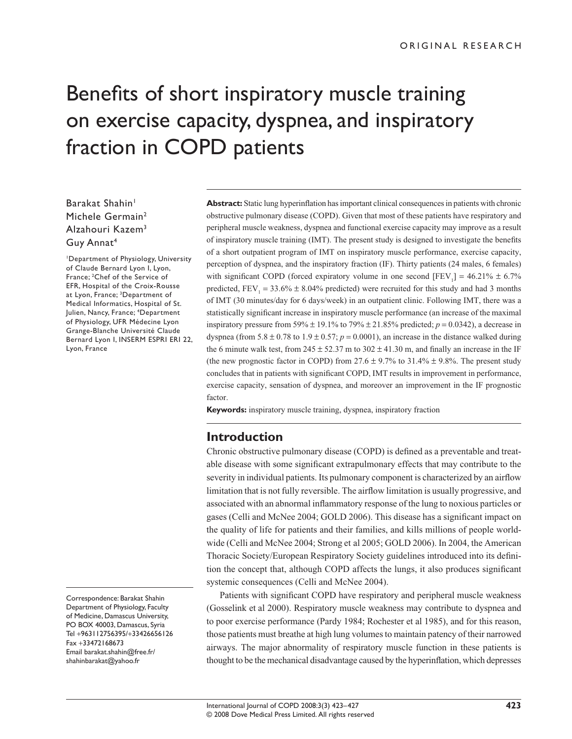# Benefits of short inspiratory muscle training on exercise capacity, dyspnea, and inspiratory fraction in COPD patients

# Barakat Shahin<sup>1</sup> Michele Germain<sup>2</sup> Alzahouri Kazem3 Guy Annat4

1Department of Physiology, University of Claude Bernard Lyon I, Lyon, France; 2Chef of the Service of EFR, Hospital of the Croix-Rousse at Lyon, France; 3Department of Medical Informatics, Hospital of St. Julien, Nancy, France; 4Department of Physiology, UFR Médecine Lyon Grange-Blanche Université Claude Bernard Lyon I, INSERM ESPRI ERI 22, Lyon, France

Correspondence: Barakat Shahin Department of Physiology, Faculty of Medicine, Damascus University, PO BOX 40003, Damascus, Syria Tel +963112756395/+33426656126 Fax +33472168673 Email barakat.shahin@free.fr/ shahinbarakat@yahoo.fr

**Abstract:** Static lung hyperinflation has important clinical consequences in patients with chronic obstructive pulmonary disease (COPD). Given that most of these patients have respiratory and peripheral muscle weakness, dyspnea and functional exercise capacity may improve as a result of inspiratory muscle training (IMT). The present study is designed to investigate the benefits of a short outpatient program of IMT on inspiratory muscle performance, exercise capacity, perception of dyspnea, and the inspiratory fraction (IF). Thirty patients (24 males, 6 females) with significant COPD (forced expiratory volume in one second  $[FEV_1] = 46.21\% \pm 6.7\%$ predicted,  $FEV_1 = 33.6\% \pm 8.04\%$  predicted) were recruited for this study and had 3 months of IMT (30 minutes/day for 6 days/week) in an outpatient clinic. Following IMT, there was a statistically significant increase in inspiratory muscle performance (an increase of the maximal inspiratory pressure from 59%  $\pm$  19.1% to 79%  $\pm$  21.85% predicted;  $p = 0.0342$ ), a decrease in dyspnea (from 5.8  $\pm$  0.78 to 1.9  $\pm$  0.57;  $p = 0.0001$ ), an increase in the distance walked during the 6 minute walk test, from  $245 \pm 52.37$  m to  $302 \pm 41.30$  m, and finally an increase in the IF (the new prognostic factor in COPD) from 27.6  $\pm$  9.7% to 31.4%  $\pm$  9.8%. The present study concludes that in patients with significant COPD, IMT results in improvement in performance, exercise capacity, sensation of dyspnea, and moreover an improvement in the IF prognostic factor.

**Keywords:** inspiratory muscle training, dyspnea, inspiratory fraction

# **Introduction**

Chronic obstructive pulmonary disease (COPD) is defined as a preventable and treatable disease with some significant extrapulmonary effects that may contribute to the severity in individual patients. Its pulmonary component is characterized by an airflow limitation that is not fully reversible. The airflow limitation is usually progressive, and associated with an abnormal inflammatory response of the lung to noxious particles or gases (Celli and McNee 2004; GOLD 2006). This disease has a significant impact on the quality of life for patients and their families, and kills millions of people worldwide (Celli and McNee 2004; Strong et al 2005; GOLD 2006). In 2004, the American Thoracic Society/European Respiratory Society guidelines introduced into its definition the concept that, although COPD affects the lungs, it also produces significant systemic consequences (Celli and McNee 2004).

Patients with significant COPD have respiratory and peripheral muscle weakness (Gosselink et al 2000). Respiratory muscle weakness may contribute to dyspnea and to poor exercise performance (Pardy 1984; Rochester et al 1985), and for this reason, those patients must breathe at high lung volumes to maintain patency of their narrowed airways. The major abnormality of respiratory muscle function in these patients is thought to be the mechanical disadvantage caused by the hyperinflation, which depresses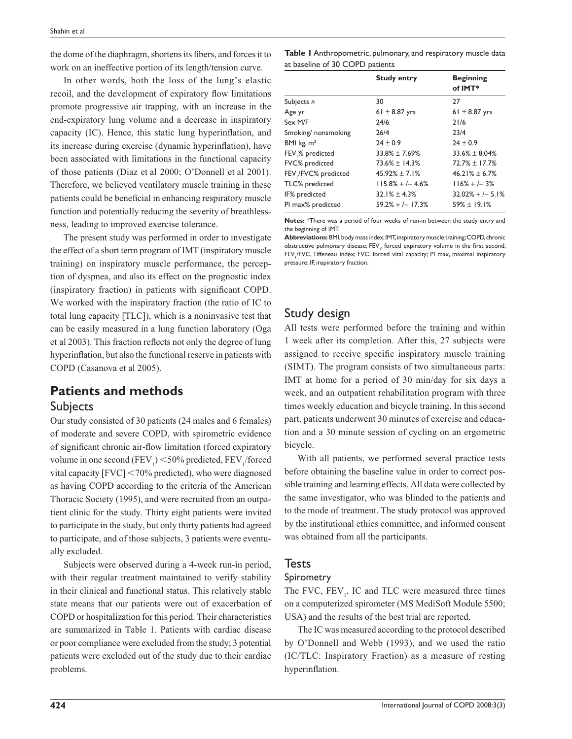the dome of the diaphragm, shortens its fibers, and forces it to work on an ineffective portion of its length/tension curve.

In other words, both the loss of the lung's elastic recoil, and the development of expiratory flow limitations promote progressive air trapping, with an increase in the end-expiratory lung volume and a decrease in inspiratory capacity (IC). Hence, this static lung hyperinflation, and its increase during exercise (dynamic hyperinflation), have been associated with limitations in the functional capacity of those patients (Diaz et al 2000; O'Donnell et al 2001). Therefore, we believed ventilatory muscle training in these patients could be beneficial in enhancing respiratory muscle function and potentially reducing the severity of breathlessness, leading to improved exercise tolerance.

The present study was performed in order to investigate the effect of a short term program of IMT (inspiratory muscle training) on inspiratory muscle performance, the perception of dyspnea, and also its effect on the prognostic index (inspiratory fraction) in patients with significant COPD. We worked with the inspiratory fraction (the ratio of IC to total lung capacity [TLC]), which is a noninvasive test that can be easily measured in a lung function laboratory (Oga et al 2003). This fraction reflects not only the degree of lung hyperinflation, but also the functional reserve in patients with COPD (Casanova et al 2005).

# **Patients and methods Subjects**

Our study consisted of 30 patients (24 males and 6 females) of moderate and severe COPD, with spirometric evidence of significant chronic air-flow limitation (forced expiratory volume in one second (FEV<sub>1</sub>)  $<$  50% predicted, FEV<sub>1</sub>/forced vital capacity [FVC] < 70% predicted), who were diagnosed as having COPD according to the criteria of the American Thoracic Society (1995), and were recruited from an outpatient clinic for the study. Thirty eight patients were invited to participate in the study, but only thirty patients had agreed to participate, and of those subjects, 3 patients were eventually excluded.

Subjects were observed during a 4-week run-in period, with their regular treatment maintained to verify stability in their clinical and functional status. This relatively stable state means that our patients were out of exacerbation of COPD or hospitalization for this period. Their characteristics are summarized in Table 1. Patients with cardiac disease or poor compliance were excluded from the study; 3 potential patients were excluded out of the study due to their cardiac problems.

| Table I Anthropometric, pulmonary, and respiratory muscle data |
|----------------------------------------------------------------|
| at baseline of 30 COPD patients                                |

|                       | <b>Study entry</b>   | <b>Beginning</b><br>of IMT* |
|-----------------------|----------------------|-----------------------------|
| Subjects n            | 30                   | 27                          |
| Age yr                | 61 $\pm$ 8.87 yrs    | $61 \pm 8.87$ yrs           |
| Sex M/F               | 24/6                 | 21/6                        |
| Smoking/nonsmoking    | 26/4                 | 23/4                        |
| BMI $kg, m2$          | $24 \pm 0.9$         | $24 \pm 0.9$                |
| FEV,% predicted       | $33.8\% \pm 7.69\%$  | $33.6\% \pm 8.04\%$         |
| <b>FVC%</b> predicted | $73.6\% \pm 14.3\%$  | $72.7\% \pm 17.7\%$         |
| FEV / FVC% predicted  | $45.92\% \pm 7.1\%$  | $46.21\% \pm 6.7\%$         |
| TLC% predicted        | $115.8\% + (-4.6\%)$ | $116\% + 1 - 3\%$           |
| IF% predicted         | $32.1\% \pm 4.3\%$   | $32.02\% + (-5.1\%)$        |
| PI max% predicted     | $59.2% + 1 - 17.3%$  | $59\% \pm 19.1\%$           |
|                       |                      |                             |

**Notes:** \*There was a period of four weeks of run-in between the study entry and the beginning of IMT.

**Abbreviations:** BMI, body mass index; IMT, inspiratory muscle training; COPD, chronic obstructive pulmonary disease; FEV<sub>1</sub>, forced expiratory volume in the first second; FEV<sub>1</sub>/FVC, Tiffeneau index; FVC, forced vital capacity; PI max, maximal inspiratory pressure; IF, inspiratory fraction.

# Study design

All tests were performed before the training and within 1 week after its completion. After this, 27 subjects were assigned to receive specific inspiratory muscle training (SIMT). The program consists of two simultaneous parts: IMT at home for a period of 30 min/day for six days a week, and an outpatient rehabilitation program with three times weekly education and bicycle training. In this second part, patients underwent 30 minutes of exercise and education and a 30 minute session of cycling on an ergometric bicycle.

With all patients, we performed several practice tests before obtaining the baseline value in order to correct possible training and learning effects. All data were collected by the same investigator, who was blinded to the patients and to the mode of treatment. The study protocol was approved by the institutional ethics committee, and informed consent was obtained from all the participants.

## **Tests**

### Spirometry

The FVC,  $FEV_1$ , IC and TLC were measured three times on a computerized spirometer (MS MediSoft Module 5500; USA) and the results of the best trial are reported.

The IC was measured according to the protocol described by O'Donnell and Webb (1993), and we used the ratio (IC/TLC: Inspiratory Fraction) as a measure of resting hyperinflation.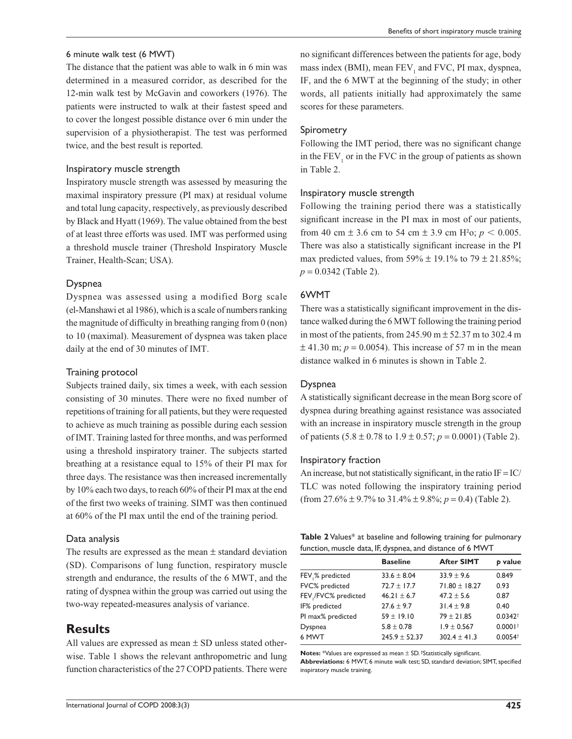#### 6 minute walk test (6 MWT)

The distance that the patient was able to walk in 6 min was determined in a measured corridor, as described for the 12-min walk test by McGavin and coworkers (1976). The patients were instructed to walk at their fastest speed and to cover the longest possible distance over 6 min under the supervision of a physiotherapist. The test was performed twice, and the best result is reported.

#### Inspiratory muscle strength

Inspiratory muscle strength was assessed by measuring the maximal inspiratory pressure (PI max) at residual volume and total lung capacity, respectively, as previously described by Black and Hyatt (1969). The value obtained from the best of at least three efforts was used. IMT was performed using a threshold muscle trainer (Threshold Inspiratory Muscle Trainer, Health-Scan; USA).

#### Dyspnea

Dyspnea was assessed using a modified Borg scale (el-Manshawi et al 1986), which is a scale of numbers ranking the magnitude of difficulty in breathing ranging from  $0$  (non) to 10 (maximal). Measurement of dyspnea was taken place daily at the end of 30 minutes of IMT.

#### Training protocol

Subjects trained daily, six times a week, with each session consisting of 30 minutes. There were no fixed number of repetitions of training for all patients, but they were requested to achieve as much training as possible during each session of IMT. Training lasted for three months, and was performed using a threshold inspiratory trainer. The subjects started breathing at a resistance equal to 15% of their PI max for three days. The resistance was then increased incrementally by 10% each two days, to reach 60% of their PI max at the end of the first two weeks of training. SIMT was then continued at 60% of the PI max until the end of the training period.

#### Data analysis

The results are expressed as the mean  $\pm$  standard deviation (SD). Comparisons of lung function, respiratory muscle strength and endurance, the results of the 6 MWT, and the rating of dyspnea within the group was carried out using the two-way repeated-measures analysis of variance.

## **Results**

All values are expressed as mean  $\pm$  SD unless stated otherwise. Table 1 shows the relevant anthropometric and lung function characteristics of the 27 COPD patients. There were no significant differences between the patients for age, body mass index (BMI), mean  $FEV_1$  and  $FVC$ , PI max, dyspnea, IF, and the 6 MWT at the beginning of the study; in other words, all patients initially had approximately the same scores for these parameters.

#### Spirometry

Following the IMT period, there was no significant change in the  $FEV<sub>1</sub>$  or in the FVC in the group of patients as shown in Table 2.

#### Inspiratory muscle strength

Following the training period there was a statistically significant increase in the PI max in most of our patients, from 40 cm  $\pm$  3.6 cm to 54 cm  $\pm$  3.9 cm H<sup>2</sup>o; *p* < 0.005. There was also a statistically significant increase in the PI max predicted values, from 59%  $\pm$  19.1% to 79  $\pm$  21.85%; *p* = 0.0342 (Table 2).

#### 6WMT

There was a statistically significant improvement in the distance walked during the 6 MWT following the training period in most of the patients, from 245.90 m  $\pm$  52.37 m to 302.4 m  $\pm$  41.30 m;  $p = 0.0054$ ). This increase of 57 m in the mean distance walked in 6 minutes is shown in Table 2.

#### Dyspnea

A statistically significant decrease in the mean Borg score of dyspnea during breathing against resistance was associated with an increase in inspiratory muscle strength in the group of patients  $(5.8 \pm 0.78 \text{ to } 1.9 \pm 0.57; p = 0.0001)$  (Table 2).

#### Inspiratory fraction

An increase, but not statistically significant, in the ratio  $IF = IC/$ TLC was noted following the inspiratory training period (from  $27.6\% \pm 9.7\%$  to  $31.4\% \pm 9.8\%$ ;  $p = 0.4$ ) (Table 2).

| <b>Table 2</b> Values* at baseline and following training for pulmonary |  |  |
|-------------------------------------------------------------------------|--|--|
| function, muscle data, IF, dyspnea, and distance of 6 MWT               |  |  |

|                      | <b>Baseline</b>   | <b>After SIMT</b> | <b>b</b> value        |
|----------------------|-------------------|-------------------|-----------------------|
| FEV % predicted      | $33.6 \pm 8.04$   | $33.9 \pm 9.6$    | 0.849                 |
| FVC% predicted       | $72.7 \pm 17.7$   | $71.80 \pm 18.27$ | 0.93                  |
| FEV / FVC% predicted | $46.21 \pm 6.7$   | $47.2 \pm 5.6$    | 0.87                  |
| IF% predicted        | $27.6 \pm 9.7$    | $31.4 \pm 9.8$    | 0.40                  |
| PI max% predicted    | $59 \pm 19.10$    | $79 \pm 21.85$    | $0.0342^+$            |
| Dyspnea              | $5.8 \pm 0.78$    | $1.9 \pm 0.567$   | $0.0001$ <sup>+</sup> |
| 6 MWT                | $245.9 \pm 52.37$ | $302.4 \pm 41.3$  | $0.0054^{+}$          |

**Notes:** \*Values are expressed as mean  $\pm$  SD. <sup>†</sup>Statistically significant.

Abbreviations: 6 MWT, 6 minute walk test; SD, standard deviation; SIMT, specified inspiratory muscle training.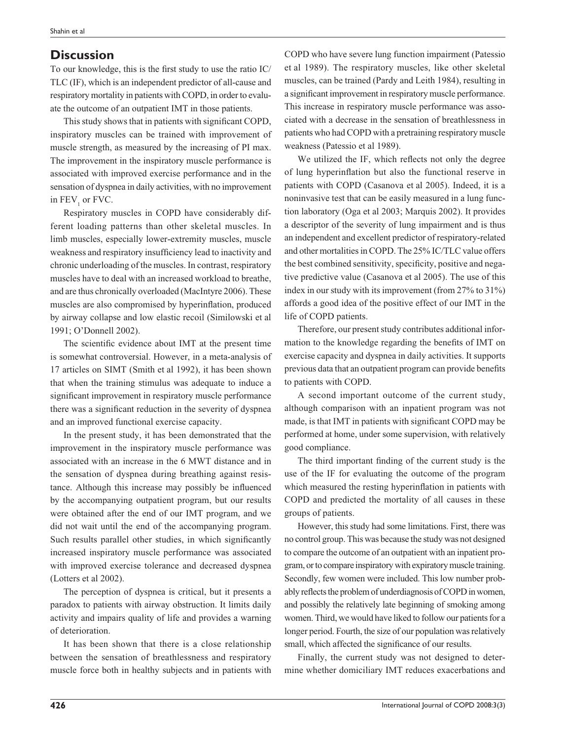# **Discussion**

To our knowledge, this is the first study to use the ratio IC/ TLC (IF), which is an independent predictor of all-cause and respiratory mortality in patients with COPD, in order to evaluate the outcome of an outpatient IMT in those patients.

This study shows that in patients with significant COPD, inspiratory muscles can be trained with improvement of muscle strength, as measured by the increasing of PI max. The improvement in the inspiratory muscle performance is associated with improved exercise performance and in the sensation of dyspnea in daily activities, with no improvement in  $\text{FEV}_1$  or FVC.

Respiratory muscles in COPD have considerably different loading patterns than other skeletal muscles. In limb muscles, especially lower-extremity muscles, muscle weakness and respiratory insufficiency lead to inactivity and chronic underloading of the muscles. In contrast, respiratory muscles have to deal with an increased workload to breathe, and are thus chronically overloaded (MacIntyre 2006). These muscles are also compromised by hyperinflation, produced by airway collapse and low elastic recoil (Similowski et al 1991; O'Donnell 2002).

The scientific evidence about IMT at the present time is somewhat controversial. However, in a meta-analysis of 17 articles on SIMT (Smith et al 1992), it has been shown that when the training stimulus was adequate to induce a significant improvement in respiratory muscle performance there was a significant reduction in the severity of dyspnea and an improved functional exercise capacity.

In the present study, it has been demonstrated that the improvement in the inspiratory muscle performance was associated with an increase in the 6 MWT distance and in the sensation of dyspnea during breathing against resistance. Although this increase may possibly be influenced by the accompanying outpatient program, but our results were obtained after the end of our IMT program, and we did not wait until the end of the accompanying program. Such results parallel other studies, in which significantly increased inspiratory muscle performance was associated with improved exercise tolerance and decreased dyspnea (Lotters et al 2002).

The perception of dyspnea is critical, but it presents a paradox to patients with airway obstruction. It limits daily activity and impairs quality of life and provides a warning of deterioration.

It has been shown that there is a close relationship between the sensation of breathlessness and respiratory muscle force both in healthy subjects and in patients with COPD who have severe lung function impairment (Patessio et al 1989). The respiratory muscles, like other skeletal muscles, can be trained (Pardy and Leith 1984), resulting in a significant improvement in respiratory muscle performance. This increase in respiratory muscle performance was associated with a decrease in the sensation of breathlessness in patients who had COPD with a pretraining respiratory muscle weakness (Patessio et al 1989).

We utilized the IF, which reflects not only the degree of lung hyperinflation but also the functional reserve in patients with COPD (Casanova et al 2005). Indeed, it is a noninvasive test that can be easily measured in a lung function laboratory (Oga et al 2003; Marquis 2002). It provides a descriptor of the severity of lung impairment and is thus an independent and excellent predictor of respiratory-related and other mortalities in COPD. The 25% IC/TLC value offers the best combined sensitivity, specificity, positive and negative predictive value (Casanova et al 2005). The use of this index in our study with its improvement (from 27% to 31%) affords a good idea of the positive effect of our IMT in the life of COPD patients.

Therefore, our present study contributes additional information to the knowledge regarding the benefits of IMT on exercise capacity and dyspnea in daily activities. It supports previous data that an outpatient program can provide benefits to patients with COPD.

A second important outcome of the current study, although comparison with an inpatient program was not made, is that IMT in patients with significant COPD may be performed at home, under some supervision, with relatively good compliance.

The third important finding of the current study is the use of the IF for evaluating the outcome of the program which measured the resting hyperinflation in patients with COPD and predicted the mortality of all causes in these groups of patients.

However, this study had some limitations. First, there was no control group. This was because the study was not designed to compare the outcome of an outpatient with an inpatient program, or to compare inspiratory with expiratory muscle training. Secondly, few women were included. This low number probably reflects the problem of underdiagnosis of COPD in women, and possibly the relatively late beginning of smoking among women. Third, we would have liked to follow our patients for a longer period. Fourth, the size of our population was relatively small, which affected the significance of our results.

Finally, the current study was not designed to determine whether domiciliary IMT reduces exacerbations and